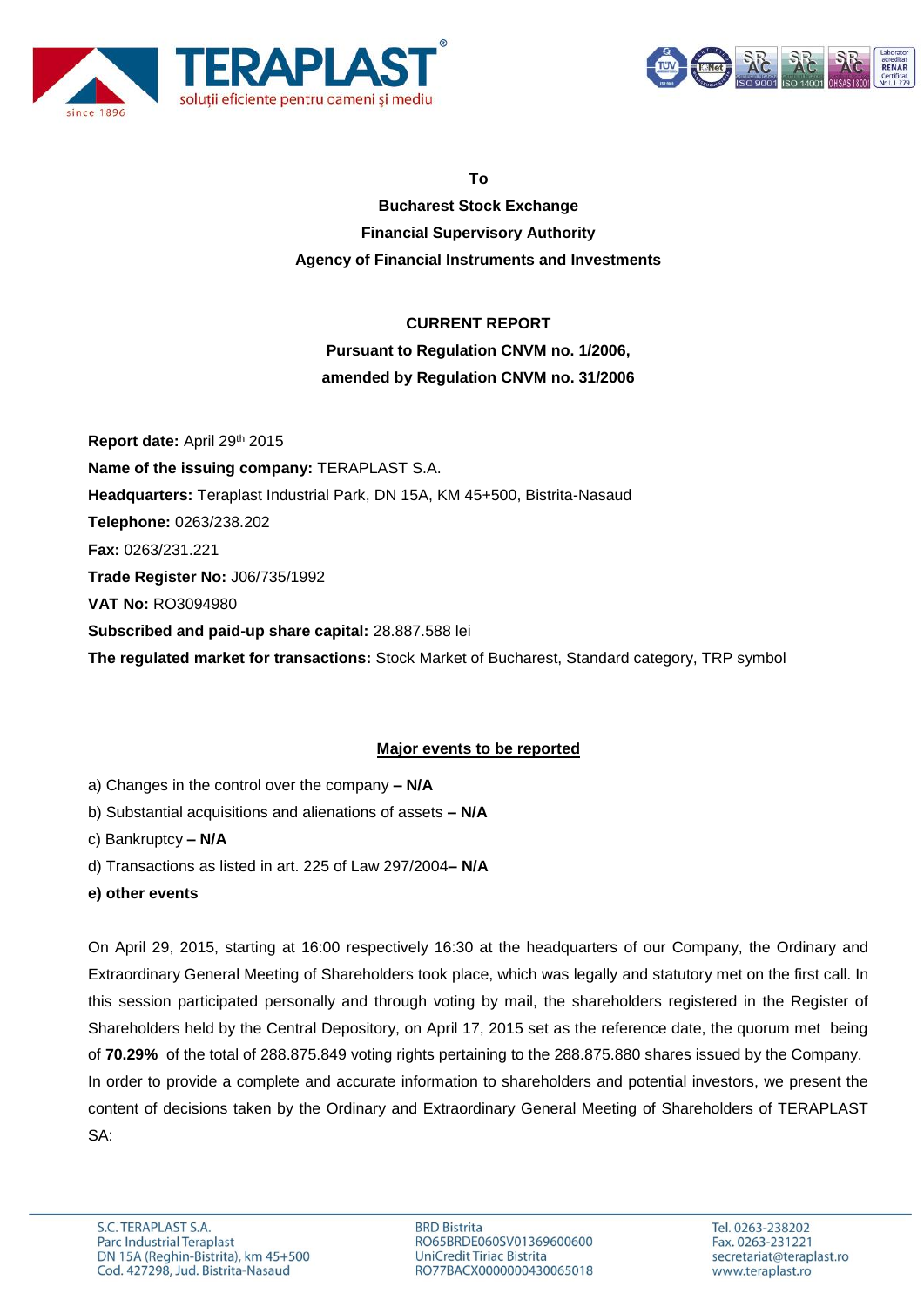



**To**

**Bucharest Stock Exchange Financial Supervisory Authority Agency of Financial Instruments and Investments**

# **CURRENT REPORT**

# **Pursuant to Regulation CNVM no. 1/2006, amended by Regulation CNVM no. 31/2006**

**Report date:** April 29th 2015 **Name of the issuing company:** TERAPLAST S.A. **Headquarters:** Teraplast Industrial Park, DN 15A, KM 45+500, Bistrita-Nasaud **Telephone:** 0263/238.202 **Fax:** 0263/231.221 **Trade Register No:** J06/735/1992 **VAT No:** RO3094980 **Subscribed and paid-up share capital:** 28.887.588 lei **The regulated market for transactions:** Stock Market of Bucharest, Standard category, TRP symbol

# **Major events to be reported**

- a) Changes in the control over the company **– N/A**
- b) Substantial acquisitions and alienations of assets **– N/A**
- c) Bankruptcy **– N/A**
- d) Transactions as listed in art. 225 of Law 297/2004**– N/A**
- **e) other events**

On April 29, 2015, starting at 16:00 respectively 16:30 at the headquarters of our Company, the Ordinary and Extraordinary General Meeting of Shareholders took place, which was legally and statutory met on the first call. In this session participated personally and through voting by mail, the shareholders registered in the Register of Shareholders held by the Central Depository, on April 17, 2015 set as the reference date, the quorum met being of **70.29%** of the total of 288.875.849 voting rights pertaining to the 288.875.880 shares issued by the Company. In order to provide a complete and accurate information to shareholders and potential investors, we present the content of decisions taken by the Ordinary and Extraordinary General Meeting of Shareholders of TERAPLAST SA:

**BRD Bistrita** RO65BRDE060SV01369600600 UniCredit Tiriac Bistrita RO77BACX0000000430065018

Tel. 0263-238202 Fax. 0263-231221 secretariat@teraplast.ro www.teraplast.ro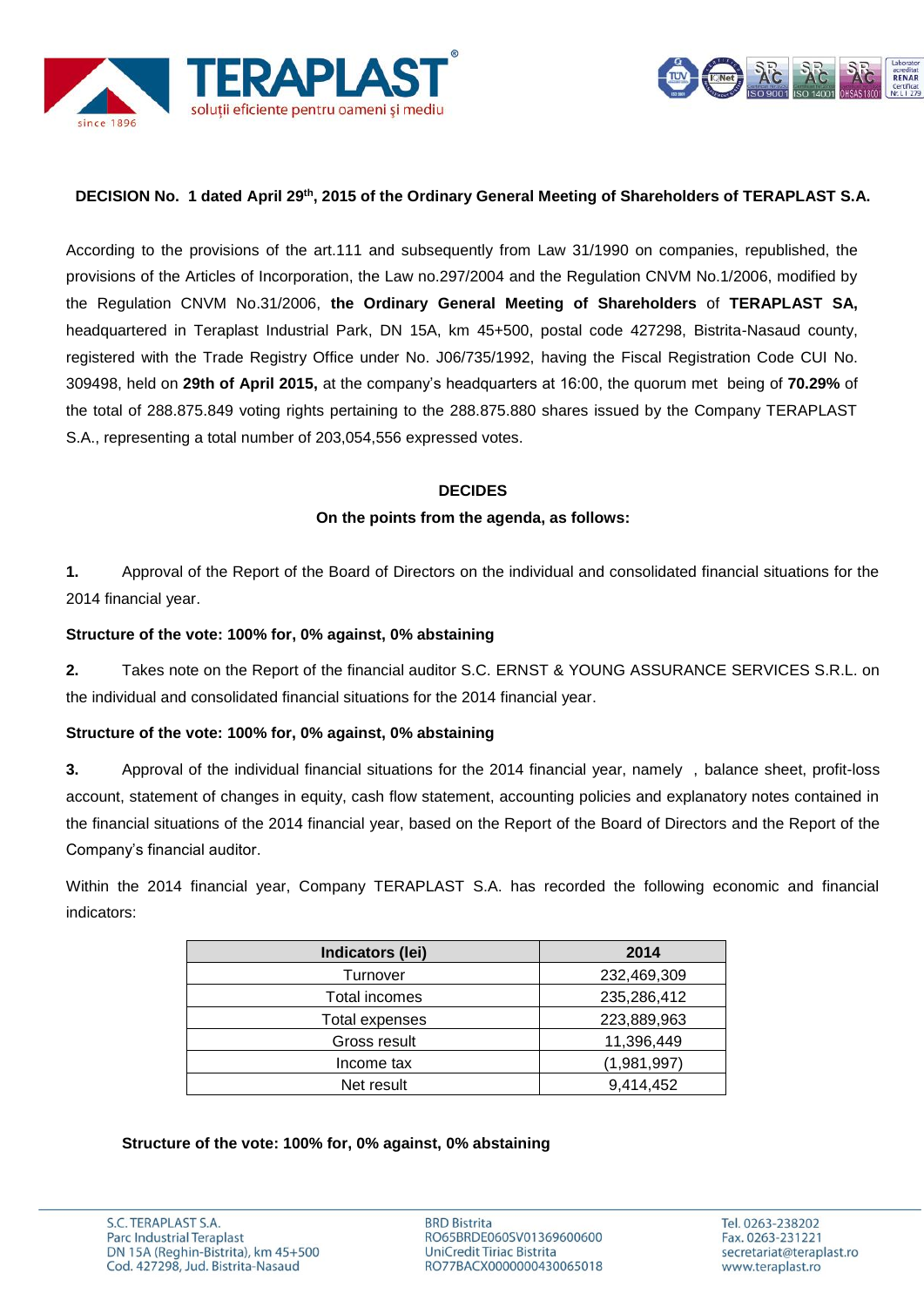



## **DECISION No. 1 dated April 29th , 2015 of the Ordinary General Meeting of Shareholders of TERAPLAST S.A.**

According to the provisions of the art.111 and subsequently from Law 31/1990 on companies, republished, the provisions of the Articles of Incorporation, the Law no.297/2004 and the Regulation CNVM No.1/2006, modified by the Regulation CNVM No.31/2006, **the Ordinary General Meeting of Shareholders** of **TERAPLAST SA,** headquartered in Teraplast Industrial Park, DN 15A, km 45+500, postal code 427298, Bistrita-Nasaud county, registered with the Trade Registry Office under No. J06/735/1992, having the Fiscal Registration Code CUI No. 309498, held on **29th of April 2015,** at the company's headquarters at 16:00, the quorum met being of **70.29%** of the total of 288.875.849 voting rights pertaining to the 288.875.880 shares issued by the Company TERAPLAST S.A., representing a total number of 203,054,556 expressed votes.

### **DECIDES**

### **On the points from the agenda, as follows:**

**1.** Approval of the Report of the Board of Directors on the individual and consolidated financial situations for the 2014 financial year.

### **Structure of the vote: 100% for, 0% against, 0% abstaining**

**2.** Takes note on the Report of the financial auditor S.C. ERNST & YOUNG ASSURANCE SERVICES S.R.L. on the individual and consolidated financial situations for the 2014 financial year.

### **Structure of the vote: 100% for, 0% against, 0% abstaining**

**3.** Approval of the individual financial situations for the 2014 financial year, namely , balance sheet, profit-loss account, statement of changes in equity, cash flow statement, accounting policies and explanatory notes contained in the financial situations of the 2014 financial year, based on the Report of the Board of Directors and the Report of the Company's financial auditor.

Within the 2014 financial year, Company TERAPLAST S.A. has recorded the following economic and financial indicators:

| Indicators (lei) | 2014        |
|------------------|-------------|
| Turnover         | 232,469,309 |
| Total incomes    | 235,286,412 |
| Total expenses   | 223,889,963 |
| Gross result     | 11,396,449  |
| Income tax       | (1,981,997) |
| Net result       | 9,414,452   |

**Structure of the vote: 100% for, 0% against, 0% abstaining**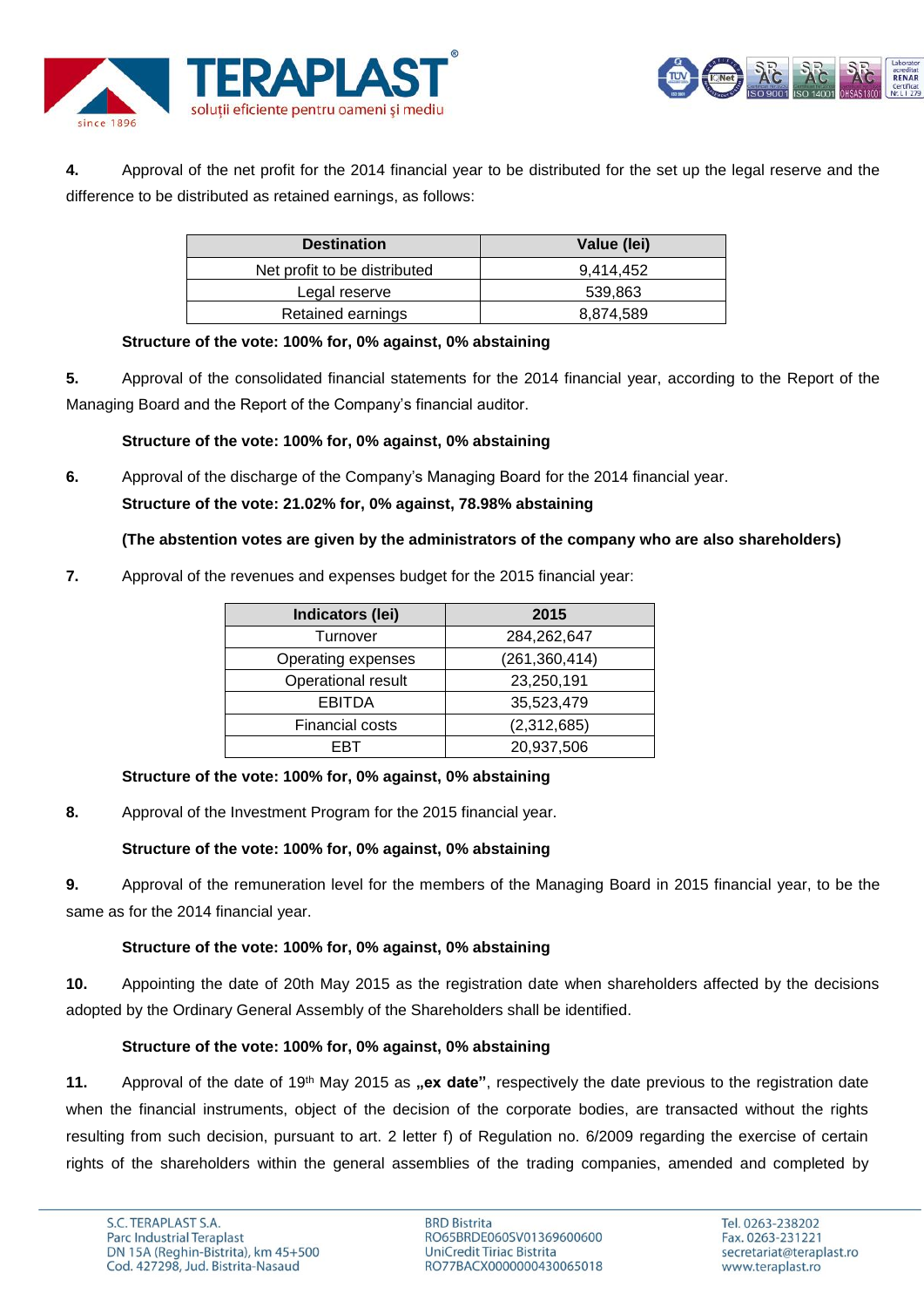



**4.** Approval of the net profit for the 2014 financial year to be distributed for the set up the legal reserve and the difference to be distributed as retained earnings, as follows:

| <b>Destination</b>           | Value (lei) |
|------------------------------|-------------|
| Net profit to be distributed | 9.414.452   |
| Legal reserve                | 539,863     |
| Retained earnings            | 8,874,589   |

### **Structure of the vote: 100% for, 0% against, 0% abstaining**

**5.** Approval of the consolidated financial statements for the 2014 financial year, according to the Report of the Managing Board and the Report of the Company's financial auditor.

# **Structure of the vote: 100% for, 0% against, 0% abstaining**

**6.** Approval of the discharge of the Company's Managing Board for the 2014 financial year. **Structure of the vote: 21.02% for, 0% against, 78.98% abstaining**

# **(The abstention votes are given by the administrators of the company who are also shareholders)**

**7.** Approval of the revenues and expenses budget for the 2015 financial year:

| Indicators (lei)       | 2015            |
|------------------------|-----------------|
| Turnover               | 284,262,647     |
| Operating expenses     | (261, 360, 414) |
| Operational result     | 23,250,191      |
| <b>EBITDA</b>          | 35,523,479      |
| <b>Financial costs</b> | (2,312,685)     |
| ERT                    | 20,937,506      |

# **Structure of the vote: 100% for, 0% against, 0% abstaining**

**8.** Approval of the Investment Program for the 2015 financial year.

# **Structure of the vote: 100% for, 0% against, 0% abstaining**

**9.** Approval of the remuneration level for the members of the Managing Board in 2015 financial year, to be the same as for the 2014 financial year.

# **Structure of the vote: 100% for, 0% against, 0% abstaining**

**10.** Appointing the date of 20th May 2015 as the registration date when shareholders affected by the decisions adopted by the Ordinary General Assembly of the Shareholders shall be identified.

# **Structure of the vote: 100% for, 0% against, 0% abstaining**

**11.** Approval of the date of 19<sup>th</sup> May 2015 as **"ex date**", respectively the date previous to the registration date when the financial instruments, object of the decision of the corporate bodies, are transacted without the rights resulting from such decision, pursuant to art. 2 letter f) of Regulation no. 6/2009 regarding the exercise of certain rights of the shareholders within the general assemblies of the trading companies, amended and completed by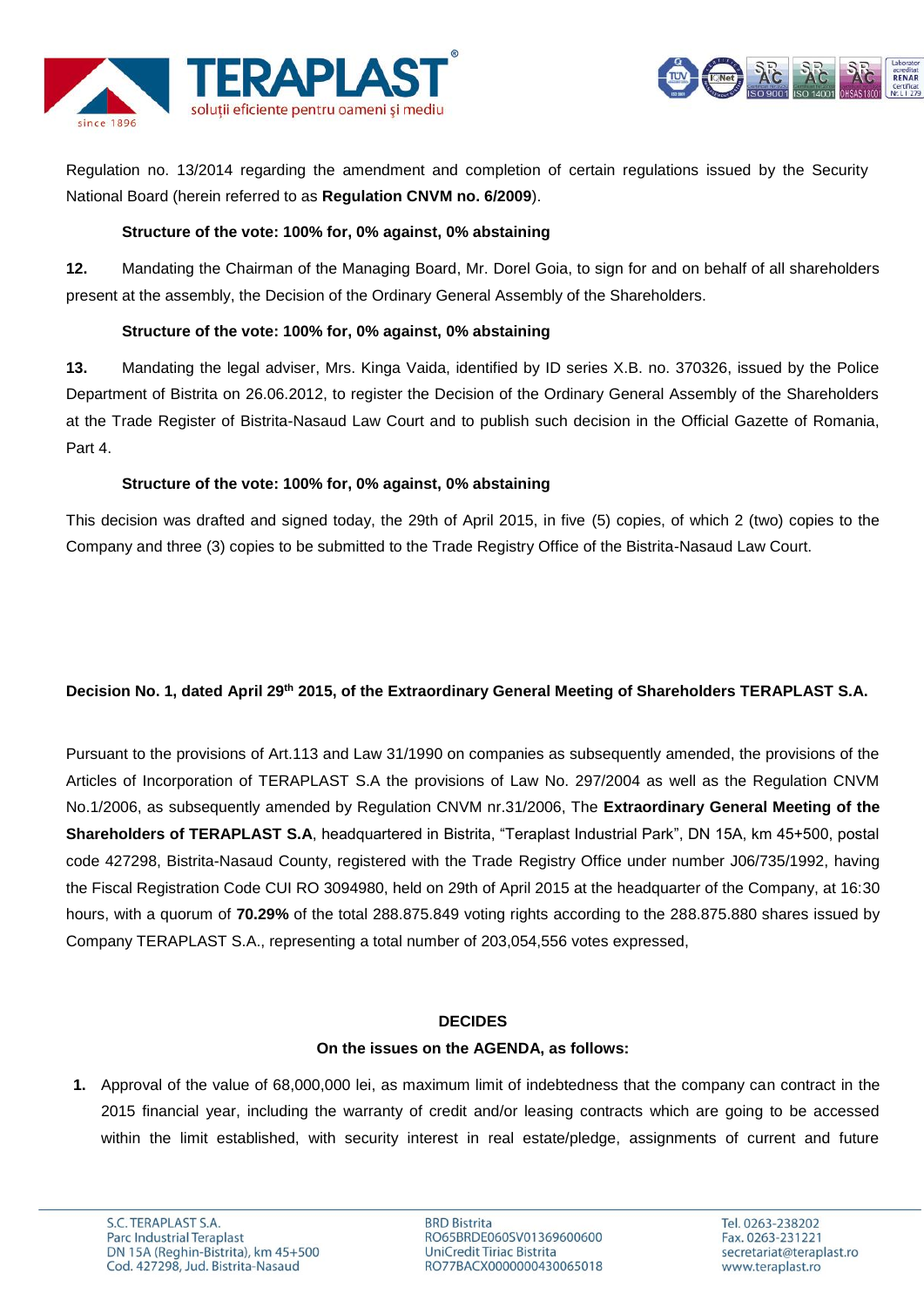



Regulation no. 13/2014 regarding the amendment and completion of certain regulations issued by the Security National Board (herein referred to as **Regulation CNVM no. 6/2009**).

## **Structure of the vote: 100% for, 0% against, 0% abstaining**

**12.** Mandating the Chairman of the Managing Board, Mr. Dorel Goia, to sign for and on behalf of all shareholders present at the assembly, the Decision of the Ordinary General Assembly of the Shareholders.

## **Structure of the vote: 100% for, 0% against, 0% abstaining**

**13.** Mandating the legal adviser, Mrs. Kinga Vaida, identified by ID series X.B. no. 370326, issued by the Police Department of Bistrita on 26.06.2012, to register the Decision of the Ordinary General Assembly of the Shareholders at the Trade Register of Bistrita-Nasaud Law Court and to publish such decision in the Official Gazette of Romania, Part 4.

## **Structure of the vote: 100% for, 0% against, 0% abstaining**

This decision was drafted and signed today, the 29th of April 2015, in five (5) copies, of which 2 (two) copies to the Company and three (3) copies to be submitted to the Trade Registry Office of the Bistrita-Nasaud Law Court.

# **Decision No. 1, dated April 29th 2015, of the Extraordinary General Meeting of Shareholders TERAPLAST S.A.**

Pursuant to the provisions of Art.113 and Law 31/1990 on companies as subsequently amended, the provisions of the Articles of Incorporation of TERAPLAST S.A the provisions of Law No. 297/2004 as well as the Regulation CNVM No.1/2006, as subsequently amended by Regulation CNVM nr.31/2006, The **Extraordinary General Meeting of the Shareholders of TERAPLAST S.A**, headquartered in Bistrita, "Teraplast Industrial Park", DN 15A, km 45+500, postal code 427298, Bistrita-Nasaud County, registered with the Trade Registry Office under number J06/735/1992, having the Fiscal Registration Code CUI RO 3094980, held on 29th of April 2015 at the headquarter of the Company, at 16:30 hours, with a quorum of **70.29%** of the total 288.875.849 voting rights according to the 288.875.880 shares issued by Company TERAPLAST S.A., representing a total number of 203,054,556 votes expressed,

### **DECIDES**

### **On the issues on the AGENDA, as follows:**

**1.** Approval of the value of 68,000,000 lei, as maximum limit of indebtedness that the company can contract in the 2015 financial year, including the warranty of credit and/or leasing contracts which are going to be accessed within the limit established, with security interest in real estate/pledge, assignments of current and future

**BRD Bistrita** RO65BRDE060SV01369600600 UniCredit Tiriac Bistrita RO77BACX0000000430065018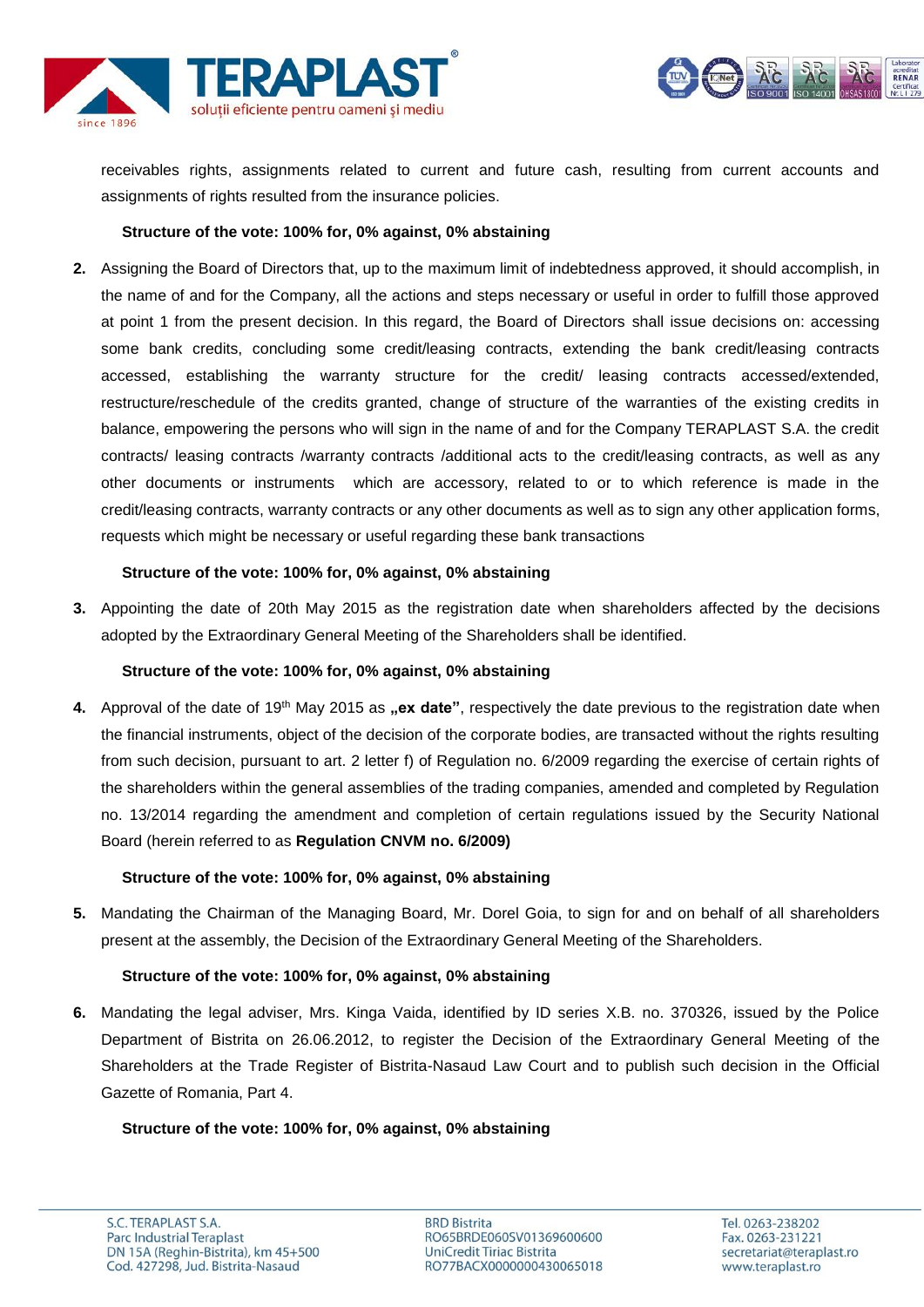



receivables rights, assignments related to current and future cash, resulting from current accounts and assignments of rights resulted from the insurance policies.

### **Structure of the vote: 100% for, 0% against, 0% abstaining**

**2.** Assigning the Board of Directors that, up to the maximum limit of indebtedness approved, it should accomplish, in the name of and for the Company, all the actions and steps necessary or useful in order to fulfill those approved at point 1 from the present decision. In this regard, the Board of Directors shall issue decisions on: accessing some bank credits, concluding some credit/leasing contracts, extending the bank credit/leasing contracts accessed, establishing the warranty structure for the credit/ leasing contracts accessed/extended, restructure/reschedule of the credits granted, change of structure of the warranties of the existing credits in balance, empowering the persons who will sign in the name of and for the Company TERAPLAST S.A. the credit contracts/ leasing contracts /warranty contracts /additional acts to the credit/leasing contracts, as well as any other documents or instruments which are accessory, related to or to which reference is made in the credit/leasing contracts, warranty contracts or any other documents as well as to sign any other application forms, requests which might be necessary or useful regarding these bank transactions

## **Structure of the vote: 100% for, 0% against, 0% abstaining**

**3.** Appointing the date of 20th May 2015 as the registration date when shareholders affected by the decisions adopted by the Extraordinary General Meeting of the Shareholders shall be identified.

### **Structure of the vote: 100% for, 0% against, 0% abstaining**

**4.** Approval of the date of 19<sup>th</sup> May 2015 as **..ex date**", respectively the date previous to the registration date when the financial instruments, object of the decision of the corporate bodies, are transacted without the rights resulting from such decision, pursuant to art. 2 letter f) of Regulation no. 6/2009 regarding the exercise of certain rights of the shareholders within the general assemblies of the trading companies, amended and completed by Regulation no. 13/2014 regarding the amendment and completion of certain regulations issued by the Security National Board (herein referred to as **Regulation CNVM no. 6/2009)**

### **Structure of the vote: 100% for, 0% against, 0% abstaining**

**5.** Mandating the Chairman of the Managing Board, Mr. Dorel Goia, to sign for and on behalf of all shareholders present at the assembly, the Decision of the Extraordinary General Meeting of the Shareholders.

# **Structure of the vote: 100% for, 0% against, 0% abstaining**

**6.** Mandating the legal adviser, Mrs. Kinga Vaida, identified by ID series X.B. no. 370326, issued by the Police Department of Bistrita on 26.06.2012, to register the Decision of the Extraordinary General Meeting of the Shareholders at the Trade Register of Bistrita-Nasaud Law Court and to publish such decision in the Official Gazette of Romania, Part 4.

# **Structure of the vote: 100% for, 0% against, 0% abstaining**